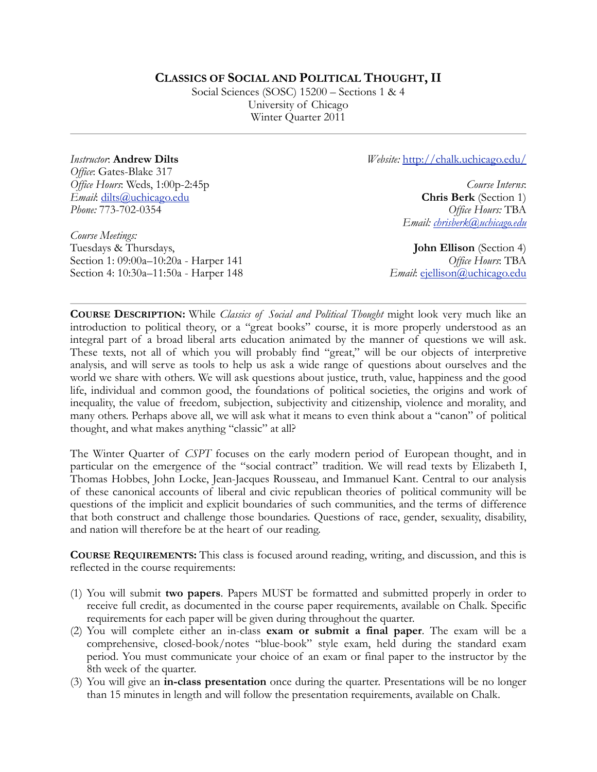# **CLASSICS OF SOCIAL AND POLITICAL THOUGHT, II**

Social Sciences (SOSC) 15200 – Sections 1 & 4 University of Chicago Winter Quarter 2011

*Instructor*: **Andrew Dilts** *Office*: Gates-Blake 317 *Office Hours*: Weds, 1:00p-2:45p *Email*: [dilts@uchicago.edu](mailto:dilts@uchicago.edu) *Phone:* 773-702-0354

*Course Meetings:*  Tuesdays & Thursdays, Section 1: 09:00a–10:20a - Harper 141 Section 4: 10:30a–11:50a - Harper 148 *Website:* [http://chalk.uchicago.edu/](http://chalk.uchicago.edu)

*Course Interns*: **Chris Berk** (Section 1) *Office Hours:* TBA *Email: [chrisberk@uchicago.edu](mailto:chrisberk@uchicago.edu)*

**John Ellison** (Section 4) *Office Hours*: TBA *Email*: [ejellison@uchicago.edu](mailto:ejellison@uchicago.edu)

**COURSE DESCRIPTION:** While *Classics of Social and Political Thought* might look very much like an introduction to political theory, or a "great books" course, it is more properly understood as an integral part of a broad liberal arts education animated by the manner of questions we will ask. These texts, not all of which you will probably find "great," will be our objects of interpretive analysis, and will serve as tools to help us ask a wide range of questions about ourselves and the world we share with others. We will ask questions about justice, truth, value, happiness and the good life, individual and common good, the foundations of political societies, the origins and work of inequality, the value of freedom, subjection, subjectivity and citizenship, violence and morality, and many others. Perhaps above all, we will ask what it means to even think about a "canon" of political thought, and what makes anything "classic" at all?

The Winter Quarter of *CSPT* focuses on the early modern period of European thought, and in particular on the emergence of the "social contract" tradition. We will read texts by Elizabeth I, Thomas Hobbes, John Locke, Jean-Jacques Rousseau, and Immanuel Kant. Central to our analysis of these canonical accounts of liberal and civic republican theories of political community will be questions of the implicit and explicit boundaries of such communities, and the terms of difference that both construct and challenge those boundaries. Questions of race, gender, sexuality, disability, and nation will therefore be at the heart of our reading.

**COURSE REQUIREMENTS:** This class is focused around reading, writing, and discussion, and this is reflected in the course requirements:

- (1) You will submit **two papers**. Papers MUST be formatted and submitted properly in order to receive full credit, as documented in the course paper requirements, available on Chalk. Specific requirements for each paper will be given during throughout the quarter.
- (2) You will complete either an in-class **exam or submit a final paper**. The exam will be a comprehensive, closed-book/notes "blue-book" style exam, held during the standard exam period. You must communicate your choice of an exam or final paper to the instructor by the 8th week of the quarter.
- (3) You will give an **in-class presentation** once during the quarter. Presentations will be no longer than 15 minutes in length and will follow the presentation requirements, available on Chalk.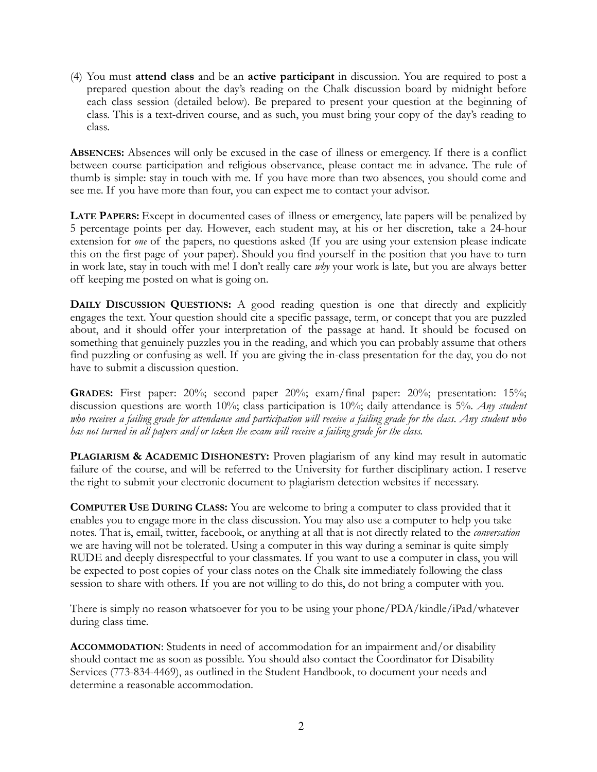(4) You must **attend class** and be an **active participant** in discussion. You are required to post a prepared question about the day's reading on the Chalk discussion board by midnight before each class session (detailed below). Be prepared to present your question at the beginning of class. This is a text-driven course, and as such, you must bring your copy of the day's reading to class.

**ABSENCES:** Absences will only be excused in the case of illness or emergency. If there is a conflict between course participation and religious observance, please contact me in advance. The rule of thumb is simple: stay in touch with me. If you have more than two absences, you should come and see me. If you have more than four, you can expect me to contact your advisor.

**LATE PAPERS:** Except in documented cases of illness or emergency, late papers will be penalized by 5 percentage points per day. However, each student may, at his or her discretion, take a 24-hour extension for *one* of the papers, no questions asked (If you are using your extension please indicate this on the first page of your paper). Should you find yourself in the position that you have to turn in work late, stay in touch with me! I don't really care *why* your work is late, but you are always better off keeping me posted on what is going on.

**DAILY DISCUSSION QUESTIONS:** A good reading question is one that directly and explicitly engages the text. Your question should cite a specific passage, term, or concept that you are puzzled about, and it should offer your interpretation of the passage at hand. It should be focused on something that genuinely puzzles you in the reading, and which you can probably assume that others find puzzling or confusing as well. If you are giving the in-class presentation for the day, you do not have to submit a discussion question.

GRADES: First paper: 20%; second paper 20%; exam/final paper: 20%; presentation: 15%; discussion questions are worth 10%; class participation is 10%; daily attendance is 5%. *Any student who receives a failing grade for attendance and participation will receive a failing grade for the class*. *Any student who has not turned in all papers and/or taken the exam will receive a failing grade for the class.*

**PLAGIARISM & ACADEMIC DISHONESTY:** Proven plagiarism of any kind may result in automatic failure of the course, and will be referred to the University for further disciplinary action. I reserve the right to submit your electronic document to plagiarism detection websites if necessary.

**COMPUTER USE DURING CLASS:** You are welcome to bring a computer to class provided that it enables you to engage more in the class discussion. You may also use a computer to help you take notes. That is, email, twitter, facebook, or anything at all that is not directly related to the *conversation*  we are having will not be tolerated. Using a computer in this way during a seminar is quite simply RUDE and deeply disrespectful to your classmates. If you want to use a computer in class, you will be expected to post copies of your class notes on the Chalk site immediately following the class session to share with others. If you are not willing to do this, do not bring a computer with you.

There is simply no reason whatsoever for you to be using your phone/PDA/kindle/iPad/whatever during class time.

**ACCOMMODATION**: Students in need of accommodation for an impairment and/or disability should contact me as soon as possible. You should also contact the Coordinator for Disability Services (773-834-4469), as outlined in the Student Handbook, to document your needs and determine a reasonable accommodation.